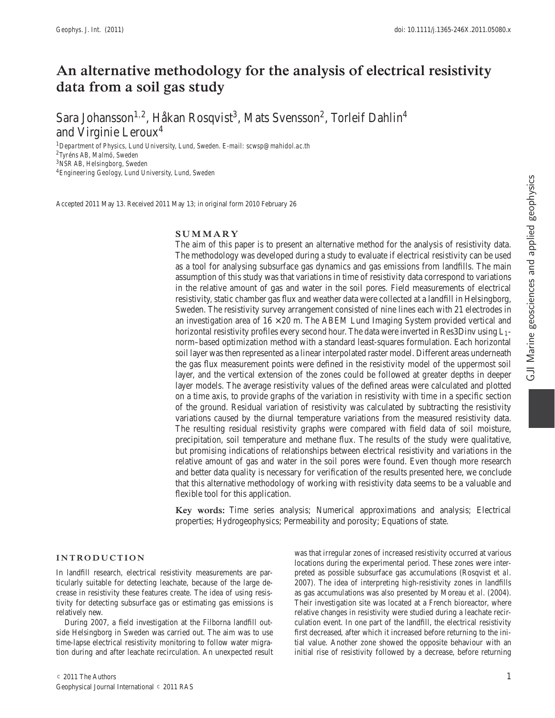# **An alternative methodology for the analysis of electrical resistivity data from a soil gas study**

Sara Johansson<sup>1,2</sup>, Håkan Rosqvist<sup>3</sup>, Mats Svensson<sup>2</sup>, Torleif Dahlin<sup>4</sup> and Virginie Leroux<sup>4</sup>

<sup>1</sup>*Department of Physics, Lund University, Lund, Sweden. E-mail: scwsp@mahidol.ac.th*  $2$ Tyréns AB, Malmö, Sweden <sup>3</sup>*NSR AB, Helsingborg, Sweden*

<sup>4</sup>*Engineering Geology, Lund University, Lund, Sweden*

Accepted 2011 May 13. Received 2011 May 13; in original form 2010 February 26

## **SUMMARY**

The aim of this paper is to present an alternative method for the analysis of resistivity data. The methodology was developed during a study to evaluate if electrical resistivity can be used as a tool for analysing subsurface gas dynamics and gas emissions from landfills. The main assumption of this study was that variations in time of resistivity data correspond to variations in the relative amount of gas and water in the soil pores. Field measurements of electrical resistivity, static chamber gas flux and weather data were collected at a landfill in Helsingborg, Sweden. The resistivity survey arrangement consisted of nine lines each with 21 electrodes in an investigation area of  $16 \times 20$  m. The ABEM Lund Imaging System provided vertical and horizontal resistivity profiles every second hour. The data were inverted in Res3Dinv using  $L_1$ norm–based optimization method with a standard least-squares formulation. Each horizontal soil layer was then represented as a linear interpolated raster model. Different areas underneath the gas flux measurement points were defined in the resistivity model of the uppermost soil layer, and the vertical extension of the zones could be followed at greater depths in deeper layer models. The average resistivity values of the defined areas were calculated and plotted on a time axis, to provide graphs of the variation in resistivity with time in a specific section of the ground. Residual variation of resistivity was calculated by subtracting the resistivity variations caused by the diurnal temperature variations from the measured resistivity data. The resulting residual resistivity graphs were compared with field data of soil moisture, precipitation, soil temperature and methane flux. The results of the study were qualitative, but promising indications of relationships between electrical resistivity and variations in the relative amount of gas and water in the soil pores were found. Even though more research and better data quality is necessary for verification of the results presented here, we conclude that this alternative methodology of working with resistivity data seems to be a valuable and flexible tool for this application.

**Key words:** Time series analysis; Numerical approximations and analysis; Electrical properties; Hydrogeophysics; Permeability and porosity; Equations of state.

### **INTRODUCTION**

In landfill research, electrical resistivity measurements are particularly suitable for detecting leachate, because of the large decrease in resistivity these features create. The idea of using resistivity for detecting subsurface gas or estimating gas emissions is relatively new.

During 2007, a field investigation at the Filborna landfill outside Helsingborg in Sweden was carried out. The aim was to use time-lapse electrical resistivity monitoring to follow water migration during and after leachate recirculation. An unexpected result was that irregular zones of increased resistivity occurred at various locations during the experimental period. These zones were interpreted as possible subsurface gas accumulations (Rosqvist *et al*. 2007). The idea of interpreting high-resistivity zones in landfills as gas accumulations was also presented by Moreau *et al.* (2004). Their investigation site was located at a French bioreactor, where relative changes in resistivity were studied during a leachate recirculation event. In one part of the landfill, the electrical resistivity first decreased, after which it increased before returning to the initial value. Another zone showed the opposite behaviour with an initial rise of resistivity followed by a decrease, before returning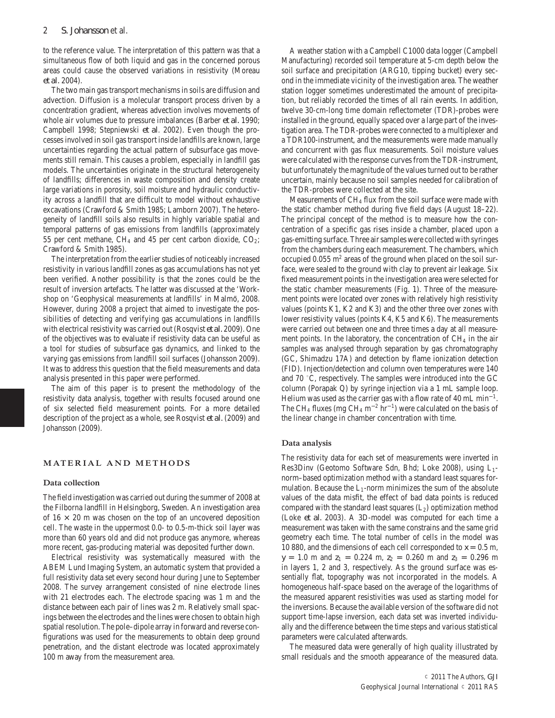to the reference value. The interpretation of this pattern was that a simultaneous flow of both liquid and gas in the concerned porous areas could cause the observed variations in resistivity (Moreau *et al.* 2004).

The two main gas transport mechanisms in soils are diffusion and advection. Diffusion is a molecular transport process driven by a concentration gradient, whereas advection involves movements of whole air volumes due to pressure imbalances (Barber *et al.* 1990; Campbell 1998; Stepniewski *et al*. 2002). Even though the processes involved in soil gas transport inside landfills are known, large uncertainties regarding the actual pattern of subsurface gas movements still remain. This causes a problem, especially in landfill gas models. The uncertainties originate in the structural heterogeneity of landfills; differences in waste composition and density create large variations in porosity, soil moisture and hydraulic conductivity across a landfill that are difficult to model without exhaustive excavations (Crawford & Smith 1985; Lamborn 2007). The heterogeneity of landfill soils also results in highly variable spatial and temporal patterns of gas emissions from landfills (approximately 55 per cent methane, CH<sub>4</sub> and 45 per cent carbon dioxide,  $CO<sub>2</sub>$ ; Crawford & Smith 1985).

The interpretation from the earlier studies of noticeably increased resistivity in various landfill zones as gas accumulations has not yet been verified. Another possibility is that the zones could be the result of inversion artefacts. The latter was discussed at the 'Workshop on 'Geophysical measurements at landfills' in Malmö, 2008. However, during 2008 a project that aimed to investigate the possibilities of detecting and verifying gas accumulations in landfills with electrical resistivity was carried out (Rosqvist *et al.* 2009). One of the objectives was to evaluate if resistivity data can be useful as a tool for studies of subsurface gas dynamics, and linked to the varying gas emissions from landfill soil surfaces (Johansson 2009). It was to address this question that the field measurements and data analysis presented in this paper were performed.

The aim of this paper is to present the methodology of the resistivity data analysis, together with results focused around one of six selected field measurement points. For a more detailed description of the project as a whole, see Rosqvist *et al.* (2009) and Johansson (2009).

## **MATERIAL AND METHODS**

#### **Data collection**

The field investigation was carried out during the summer of 2008 at the Filborna landfill in Helsingborg, Sweden. An investigation area of  $16 \times 20$  m was chosen on the top of an uncovered deposition cell. The waste in the uppermost 0.0- to 0.5-m-thick soil layer was more than 60 years old and did not produce gas anymore, whereas more recent, gas-producing material was deposited further down.

Electrical resistivity was systematically measured with the ABEM Lund Imaging System, an automatic system that provided a full resistivity data set every second hour during June to September 2008. The survey arrangement consisted of nine electrode lines with 21 electrodes each. The electrode spacing was 1 m and the distance between each pair of lines was 2 m. Relatively small spacings between the electrodes and the lines were chosen to obtain high spatial resolution. The pole–dipole array in forward and reverse configurations was used for the measurements to obtain deep ground penetration, and the distant electrode was located approximately 100 m away from the measurement area.

A weather station with a Campbell C1000 data logger (Campbell Manufacturing) recorded soil temperature at 5-cm depth below the soil surface and precipitation (ARG10, tipping bucket) every second in the immediate vicinity of the investigation area. The weather station logger sometimes underestimated the amount of precipitation, but reliably recorded the times of all rain events. In addition, twelve 30-cm-long time domain reflectometer (TDR)-probes were installed in the ground, equally spaced over a large part of the investigation area. The TDR-probes were connected to a multiplexer and a TDR100-instrument, and the measurements were made manually and concurrent with gas flux measurements. Soil moisture values were calculated with the response curves from the TDR-instrument, but unfortunately the magnitude of the values turned out to be rather uncertain, mainly because no soil samples needed for calibration of the TDR-probes were collected at the site.

Measurements of CH<sub>4</sub> flux from the soil surface were made with the static chamber method during five field days (August 18–22). The principal concept of the method is to measure how the concentration of a specific gas rises inside a chamber, placed upon a gas-emitting surface. Three air samples were collected with syringes from the chambers during each measurement. The chambers, which occupied  $0.055$  m<sup>2</sup> areas of the ground when placed on the soil surface, were sealed to the ground with clay to prevent air leakage. Six fixed measurement points in the investigation area were selected for the static chamber measurements (Fig. 1). Three of the measurement points were located over zones with relatively high resistivity values (points K1, K2 and K3) and the other three over zones with lower resistivity values (points K4, K5 and K6). The measurements were carried out between one and three times a day at all measurement points. In the laboratory, the concentration of  $CH<sub>4</sub>$  in the air samples was analysed through separation by gas chromatography (GC, Shimadzu 17A) and detection by flame ionization detection (FID). Injection/detection and column oven temperatures were 140 and 70 C, respectively. The samples were introduced into the GC column (Porapak Q) by syringe injection via a 1 mL sample loop. Helium was used as the carrier gas with a flow rate of 40 mL min−1. The CH<sub>4</sub> fluxes (mg CH<sub>4</sub> m<sup>-2</sup> hr<sup>-1</sup>) were calculated on the basis of the linear change in chamber concentration with time.

#### **Data analysis**

The resistivity data for each set of measurements were inverted in Res3Dinv (Geotomo Software Sdn, Bhd; Loke 2008), using L1 norm–based optimization method with a standard least squares formulation. Because the  $L_1$ -norm minimizes the sum of the absolute values of the data misfit, the effect of bad data points is reduced compared with the standard least squares  $(L_2)$  optimization method (Loke *et al.* 2003). A 3D-model was computed for each time a measurement was taken with the same constrains and the same grid geometry each time. The total number of cells in the model was 10 880, and the dimensions of each cell corresponded to  $x = 0.5$  m, *y* = 1.0 m and *z*<sup>1</sup> = 0.224 m, *z*<sup>2</sup> = 0.260 m and *z*<sup>3</sup> = 0.296 m in layers 1, 2 and 3, respectively. As the ground surface was essentially flat, topography was not incorporated in the models. A homogeneous half-space based on the average of the logarithms of the measured apparent resistivities was used as starting model for the inversions. Because the available version of the software did not support time-lapse inversion, each data set was inverted individually and the difference between the time steps and various statistical parameters were calculated afterwards.

The measured data were generally of high quality illustrated by small residuals and the smooth appearance of the measured data.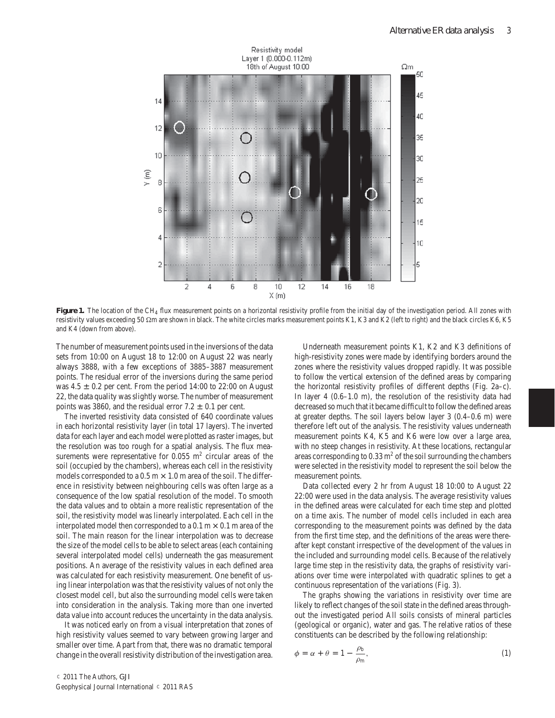

**Figure 1.** The location of the CH<sub>4</sub> flux measurement points on a horizontal resistivity profile from the initial day of the investigation period. All zones with resistivity values exceeding 50  $\Omega$ m are shown in black. The white circles marks measurement points K1, K3 and K2 (left to right) and the black circles K6, K5 and K4 (down from above).

The number of measurement points used in the inversions of the data sets from 10:00 on August 18 to 12:00 on August 22 was nearly always 3888, with a few exceptions of 3885–3887 measurement points. The residual error of the inversions during the same period was  $4.5 \pm 0.2$  per cent. From the period 14:00 to 22:00 on August 22, the data quality was slightly worse. The number of measurement points was 3860, and the residual error  $7.2 \pm 0.1$  per cent.

The inverted resistivity data consisted of 640 coordinate values in each horizontal resistivity layer (in total 17 layers). The inverted data for each layer and each model were plotted as raster images, but the resolution was too rough for a spatial analysis. The flux measurements were representative for  $0.055$  m<sup>2</sup> circular areas of the soil (occupied by the chambers), whereas each cell in the resistivity models corresponded to a  $0.5 \text{ m} \times 1.0 \text{ m}$  area of the soil. The difference in resistivity between neighbouring cells was often large as a consequence of the low spatial resolution of the model. To smooth the data values and to obtain a more realistic representation of the soil, the resistivity model was linearly interpolated. Each cell in the interpolated model then corresponded to a  $0.1 \text{ m} \times 0.1 \text{ m}$  area of the soil. The main reason for the linear interpolation was to decrease the size of the model cells to be able to select areas (each containing several interpolated model cells) underneath the gas measurement positions. An average of the resistivity values in each defined area was calculated for each resistivity measurement. One benefit of using linear interpolation was that the resistivity values of not only the closest model cell, but also the surrounding model cells were taken into consideration in the analysis. Taking more than one inverted data value into account reduces the uncertainty in the data analysis.

It was noticed early on from a visual interpretation that zones of high resistivity values seemed to vary between growing larger and smaller over time. Apart from that, there was no dramatic temporal change in the overall resistivity distribution of the investigation area.

Underneath measurement points K1, K2 and K3 definitions of high-resistivity zones were made by identifying borders around the zones where the resistivity values dropped rapidly. It was possible to follow the vertical extension of the defined areas by comparing the horizontal resistivity profiles of different depths (Fig. 2a–c). In layer 4 (0.6–1.0 m), the resolution of the resistivity data had decreased so much that it became difficult to follow the defined areas at greater depths. The soil layers below layer 3 (0.4–0.6 m) were therefore left out of the analysis. The resistivity values underneath measurement points K4, K5 and K6 were low over a large area, with no steep changes in resistivity. At these locations, rectangular areas corresponding to  $0.33 \text{ m}^2$  of the soil surrounding the chambers were selected in the resistivity model to represent the soil below the measurement points.

Data collected every 2 hr from August 18 10:00 to August 22 22:00 were used in the data analysis. The average resistivity values in the defined areas were calculated for each time step and plotted on a time axis. The number of model cells included in each area corresponding to the measurement points was defined by the data from the first time step, and the definitions of the areas were thereafter kept constant irrespective of the development of the values in the included and surrounding model cells. Because of the relatively large time step in the resistivity data, the graphs of resistivity variations over time were interpolated with quadratic splines to get a continuous representation of the variations (Fig. 3).

The graphs showing the variations in resistivity over time are likely to reflect changes of the soil state in the defined areas throughout the investigated period All soils consists of mineral particles (geological or organic), water and gas. The relative ratios of these constituents can be described by the following relationship:

$$
\phi = \alpha + \theta = 1 - \frac{\rho_b}{\rho_m},\tag{1}
$$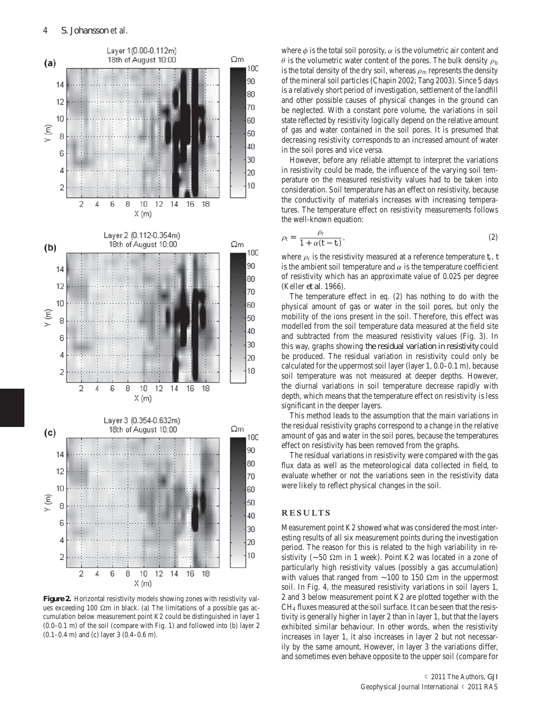

Figure 2. Horizontal resistivity models showing zones with resistivity values exceeding 100  $\Omega$ m in black. (a) The limitations of a possible gas accumulation below measurement point K2 could be distinguished in layer 1 (0.0–0.1 m) of the soil (compare with Fig. 1) and followed into (b) layer 2 (0.1–0.4 m) and (c) layer 3 (0.4–0.6 m).

where  $\phi$  is the total soil porosity,  $\alpha$  is the volumetric air content and  $θ$  is the volumetric water content of the pores. The bulk density  $ρ<sub>b</sub>$ is the total density of the dry soil, whereas  $\rho_m$  represents the density of the mineral soil particles (Chapin 2002; Tang 2003). Since 5 days is a relatively short period of investigation, settlement of the landfill and other possible causes of physical changes in the ground can be neglected. With a constant pore volume, the variations in soil state reflected by resistivity logically depend on the relative amount of gas and water contained in the soil pores. It is presumed that decreasing resistivity corresponds to an increased amount of water in the soil pores and vice versa.

However, before any reliable attempt to interpret the variations in resistivity could be made, the influence of the varying soil temperature on the measured resistivity values had to be taken into consideration. Soil temperature has an effect on resistivity, because the conductivity of materials increases with increasing temperatures. The temperature effect on resistivity measurements follows the well-known equation:

$$
\rho_t = \frac{\rho_t}{1 + \alpha(t - t_t)},\tag{2}
$$

where  $\rho_r$  is the resistivity measured at a reference temperature  $t_r$ ,  $t$ is the ambient soil temperature and  $\alpha$  is the temperature coefficient of resistivity which has an approximate value of 0.025 per degree (Keller *et al*. 1966).

The temperature effect in eq. (2) has nothing to do with the physical amount of gas or water in the soil pores, but only the mobility of the ions present in the soil. Therefore, this effect was modelled from the soil temperature data measured at the field site and subtracted from the measured resistivity values (Fig. 3). In this way, graphs showing *the residual variation in resistivity* could be produced. The residual variation in resistivity could only be calculated for the uppermost soil layer (layer 1, 0.0–0.1 m), because soil temperature was not measured at deeper depths. However, the diurnal variations in soil temperature decrease rapidly with depth, which means that the temperature effect on resistivity is less significant in the deeper layers.

This method leads to the assumption that the main variations in the residual resistivity graphs correspond to a change in the relative amount of gas and water in the soil pores, because the temperatures effect on resistivity has been removed from the graphs.

The residual variations in resistivity were compared with the gas flux data as well as the meteorological data collected in field, to evaluate whether or not the variations seen in the resistivity data were likely to reflect physical changes in the soil.

### **RESULTS**

Measurement point K2 showed what was considered the most interesting results of all six measurement points during the investigation period. The reason for this is related to the high variability in resistivity ( $50 \Omega m$  in 1 week). Point K2 was located in a zone of particularly high resistivity values (possibly a gas accumulation) with values that ranged from 100 to 150  $\Omega$ m in the uppermost soil. In Fig. 4, the measured resistivity variations in soil layers 1, 2 and 3 below measurement point K2 are plotted together with the CH4 fluxes measured at the soil surface. It can be seen that the resistivity is generally higher in layer 2 than in layer 1, but that the layers exhibited similar behaviour. In other words, when the resistivity increases in layer 1, it also increases in layer 2 but not necessarily by the same amount. However, in layer 3 the variations differ, and sometimes even behave opposite to the upper soil (compare for